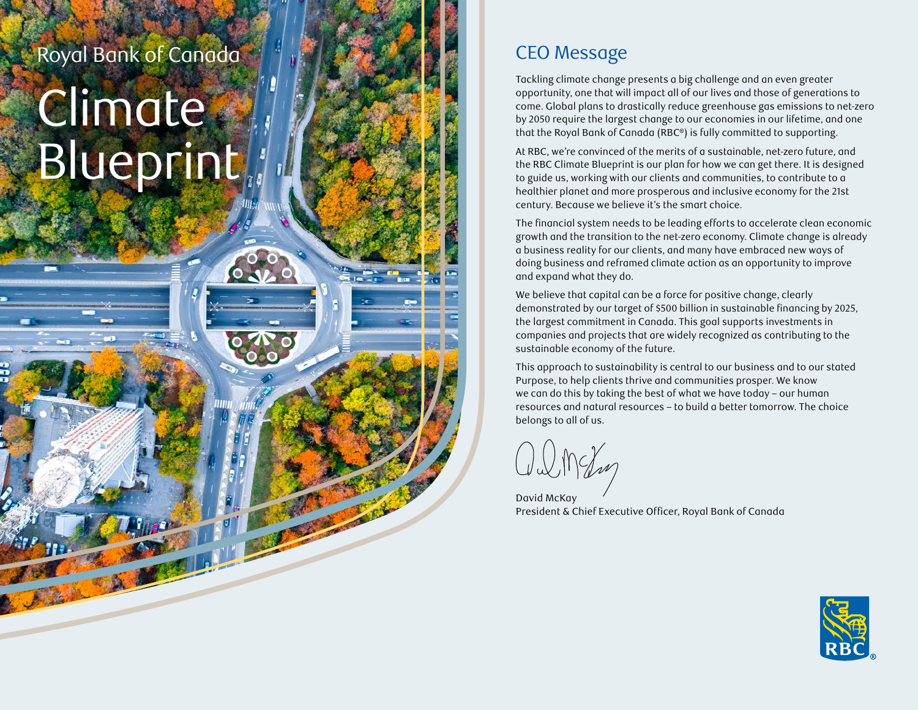### Royal Bank of Canada

# Climate Blueprint

#### CEO Message

Tackling climate change presents a big challenge and an even greater opportunity, one that will impact all of our lives and those of generations to come. Global plans to drastically reduce greenhouse gas emissions to net-zero by 2050 require the largest change to our economies in our lifetime, and one that the Royal Bank of Canada (RBC ®) is fully committed to supporting.

At RBC, we're convinced of the merits of a sustainable, net-zero future, and the RBC Climate Blueprint is our plan for how we can get there. It is designed to guide us, working with our clients and communities, to contribute to a healthier planet and more prosperous and inclusive economy for the 21st century. Because we believe it's the smart choice.

The financial system needs to be leading efforts to accelerate clean economic growth and the transition to the net-zero economy. Climate change is already a business reality for our clients, and many have embraced new ways of doing business and reframed climate action as an opportunity to improve and expand what they do.

We believe that capital can be a force for positive change, clearly demonstrated by our target of \$500 billion in sustainable financing by 2025, the largest commitment in Canada. This goal supports investments in companies and projects that are widely recognized as contributing to the sustainable economy of the future.

This approach to sustainability is central to our business and to our stated Purpose, to help clients thrive and communities prosper. We know we can do this by taking the best of what we have today – our human resources and natural resources – to build a better tomorrow. The choice belongs to all of us.

David McKay President & Chief Executive Officer, Royal Bank of Canada

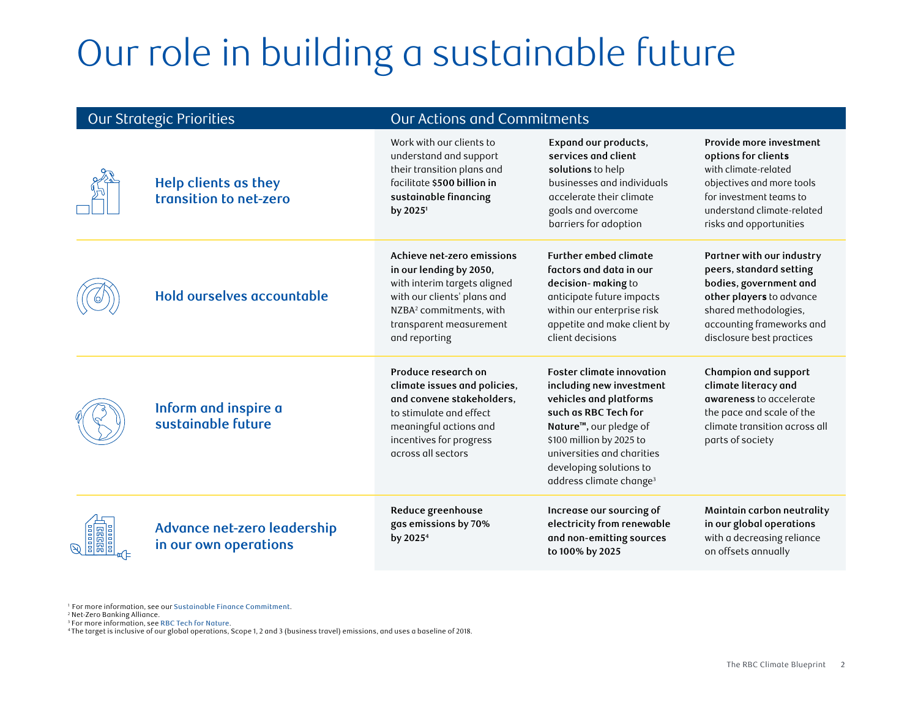## Our role in building a sustainable future

| <b>Our Strategic Priorities</b> |                                                       | Our Actions and Commitments                                                                                                                                                                             |                                                                                                                                                                                                                                                                                   |                                                                                                                                                                                               |
|---------------------------------|-------------------------------------------------------|---------------------------------------------------------------------------------------------------------------------------------------------------------------------------------------------------------|-----------------------------------------------------------------------------------------------------------------------------------------------------------------------------------------------------------------------------------------------------------------------------------|-----------------------------------------------------------------------------------------------------------------------------------------------------------------------------------------------|
|                                 | <b>Help clients as they</b><br>transition to net-zero | Work with our clients to<br>understand and support<br>their transition plans and<br>facilitate \$500 billion in<br>sustainable financing<br>by 2025 <sup>1</sup>                                        | Expand our products,<br>services and client<br>solutions to help<br>businesses and individuals<br>accelerate their climate<br>goals and overcome<br>barriers for adoption                                                                                                         | Provide more investment<br>options for clients<br>with climate-related<br>objectives and more tools<br>for investment teams to<br>understand climate-related<br>risks and opportunities       |
|                                 | Hold ourselves accountable                            | Achieve net-zero emissions<br>in our lending by 2050,<br>with interim targets aligned<br>with our clients' plans and<br>NZBA <sup>2</sup> commitments, with<br>transparent measurement<br>and reporting | <b>Further embed climate</b><br>factors and data in our<br>decision-making to<br>anticipate future impacts<br>within our enterprise risk<br>appetite and make client by<br>client decisions                                                                                       | Partner with our industry<br>peers, standard setting<br>bodies, government and<br>other players to advance<br>shared methodologies,<br>accounting frameworks and<br>disclosure best practices |
|                                 | Inform and inspire a<br>sustainable future            | Produce research on<br>climate issues and policies,<br>and convene stakeholders,<br>to stimulate and effect<br>meaningful actions and<br>incentives for progress<br>across all sectors                  | <b>Foster climate innovation</b><br>including new investment<br>vehicles and platforms<br>such as RBC Tech for<br>Nature <sup>™</sup> , our pledge of<br>\$100 million by 2025 to<br>universities and charities<br>developing solutions to<br>address climate change <sup>3</sup> | Champion and support<br>climate literacy and<br>awareness to accelerate<br>the pace and scale of the<br>climate transition across all<br>parts of society                                     |
|                                 | Advance net-zero leadership<br>in our own operations  | Reduce greenhouse<br>gas emissions by 70%<br>by 2025 <sup>4</sup>                                                                                                                                       | Increase our sourcing of<br>electricity from renewable<br>and non-emitting sources<br>to 100% by 2025                                                                                                                                                                             | Maintain carbon neutrality<br>in our global operations<br>with a decreasing reliance<br>on offsets annually                                                                                   |

1 For more information, see our Sustainable Finance Commitment. 2

<sup>2</sup> Net-Zero Banking Alliance.

3 For more information, see [RBC Tech for Nature](https://www.rbc.com/community-social-impact/environment/environmental-donations.html).

4 The target is inclusive of our global operations, Scope 1, 2 and 3 (business travel) emissions, and uses a baseline of 2018.